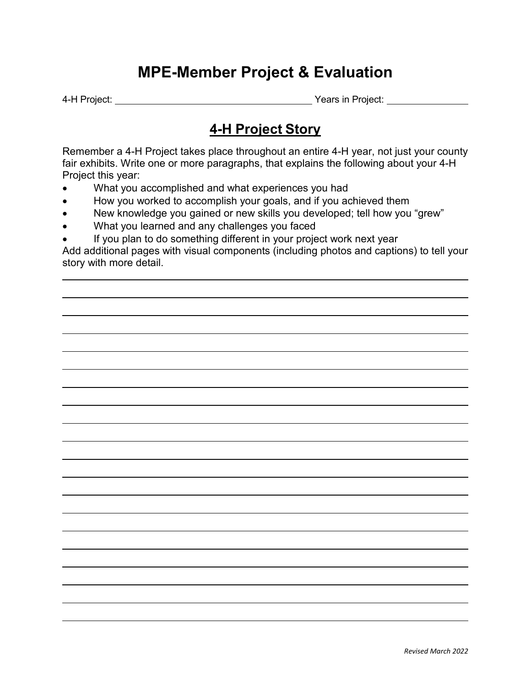# **MPE-Member Project & Evaluation**

4-H Project: <u>Years in Project:</u> Years in Project:

## **4-H Project Story**

Remember a 4-H Project takes place throughout an entire 4-H year, not just your county fair exhibits. Write one or more paragraphs, that explains the following about your 4-H Project this year:

- What you accomplished and what experiences you had
- How you worked to accomplish your goals, and if you achieved them
- New knowledge you gained or new skills you developed; tell how you "grew"
- What you learned and any challenges you faced
- If you plan to do something different in your project work next year

Add additional pages with visual components (including photos and captions) to tell your story with more detail.